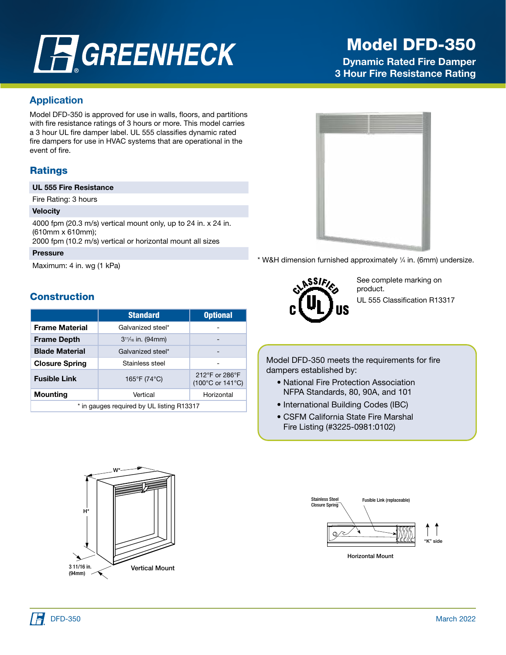# **A GREENHECK**

# Model DFD-350

Dynamic Rated Fire Damper 3 Hour Fire Resistance Rating

## Application

Model DFD-350 is approved for use in walls, floors, and partitions with fire resistance ratings of 3 hours or more. This model carries a 3 hour UL fire damper label. UL 555 classifies dynamic rated fire dampers for use in HVAC systems that are operational in the event of fire.

#### **Ratings**

#### UL 555 Fire Resistance

Fire Rating: 3 hours

#### **Velocity**

4000 fpm (20.3 m/s) vertical mount only, up to 24 in. x 24 in. (610mm x 610mm);

2000 fpm (10.2 m/s) vertical or horizontal mount all sizes

#### Pressure

Maximum: 4 in. wg (1 kPa)

#### **Construction**

|                                           | <b>Standard</b>           | <b>Optional</b>                    |  |  |
|-------------------------------------------|---------------------------|------------------------------------|--|--|
| <b>Frame Material</b>                     | Galvanized steel*         |                                    |  |  |
| <b>Frame Depth</b>                        | $3^{11}/_{16}$ in. (94mm) |                                    |  |  |
| <b>Blade Material</b>                     | Galvanized steel*         |                                    |  |  |
| <b>Closure Spring</b>                     | Stainless steel           |                                    |  |  |
| <b>Fusible Link</b>                       | 165°F (74°C)              | 212°F or 286°F<br>(100°C or 141°C) |  |  |
| <b>Mounting</b>                           | Vertical                  | Horizontal                         |  |  |
| * in gauges required by UL listing R13317 |                           |                                    |  |  |



\* W&H dimension furnished approximately 1⁄4 in. (6mm) undersize.



See complete marking on product. UL 555 Classification R13317

 Model DFD-350 meets the requirements for fire dampers established by:

- National Fire Protection Association NFPA Standards, 80, 90A, and 101
- International Building Codes (IBC)
- CSFM California State Fire Marshal Fire Listing (#3225-0981:0102)





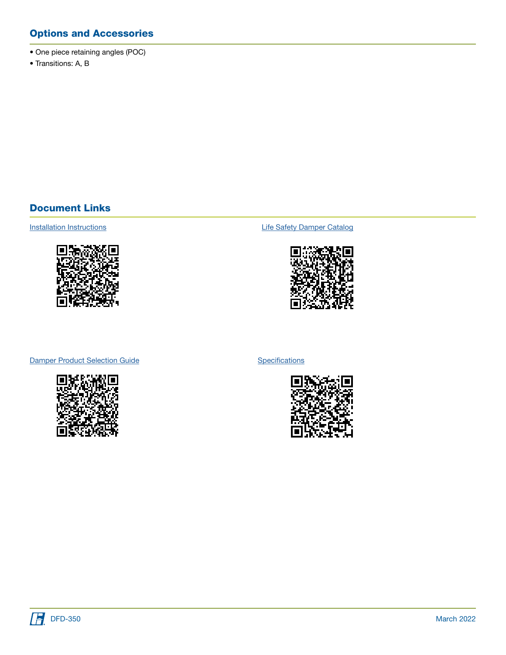# Options and Accessories

- One piece retaining angles (POC)
- Transitions: A, B

#### Document Links



[Installation Instructions](https://content.greenheck.com/public/DAMProd/Original/10001/481324CurtainFireDampers_iom.pdf) **Installation Instructions [Life Safety Damper Catalog](https://content.greenheck.com/public/DAMProd/Original/10015/LifeSafetyDampers_catalog.pdf)** 



[Damper Product Selection Guide](https://content.greenheck.com/public/DAMProd/Original/10002/InteractiveDamperSelectionGuide.pdf)



**[Specifications](https://content.greenheck.com/public/DAMProd/Original/10002/DFDseries_spec.rtf)** 



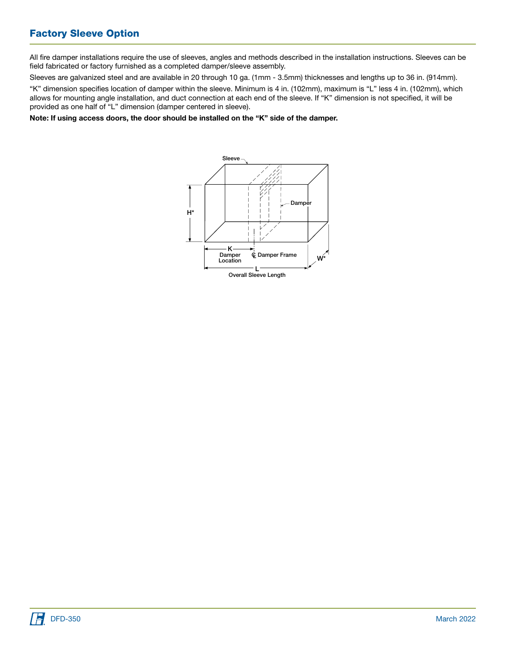# Factory Sleeve Option

All fire damper installations require the use of sleeves, angles and methods described in the installation instructions. Sleeves can be field fabricated or factory furnished as a completed damper/sleeve assembly.

Sleeves are galvanized steel and are available in 20 through 10 ga. (1mm - 3.5mm) thicknesses and lengths up to 36 in. (914mm).

"K" dimension specifies location of damper within the sleeve. Minimum is 4 in. (102mm), maximum is "L" less 4 in. (102mm), which allows for mounting angle installation, and duct connection at each end of the sleeve. If "K" dimension is not specified, it will be provided as one half of "L" dimension (damper centered in sleeve).

Note: If using access doors, the door should be installed on the "K" side of the damper.



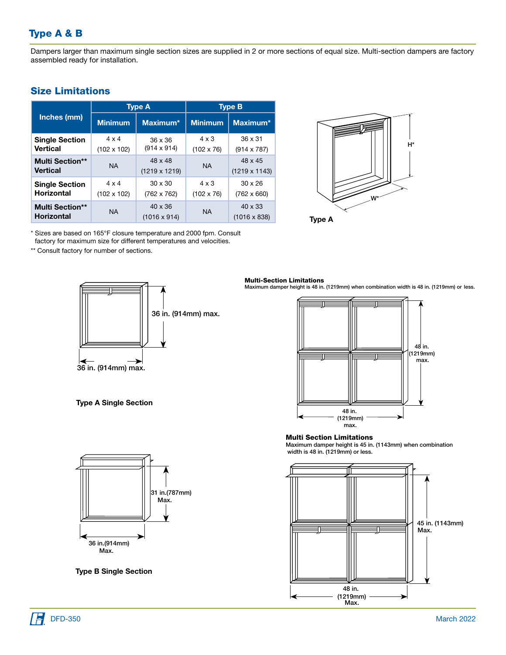## Type A & B

Dampers larger than maximum single section sizes are supplied in 2 or more sections of equal size. Multi-section dampers are factory assembled ready for installation.

#### Size Limitations

|                                             | <b>Type A</b>                      |                                       | <b>Type B</b>                     |                                       |
|---------------------------------------------|------------------------------------|---------------------------------------|-----------------------------------|---------------------------------------|
| Inches (mm)                                 | <b>Minimum</b>                     | Maximum*                              | <b>Minimum</b>                    | Maximum*                              |
| <b>Single Section</b><br><b>Vertical</b>    | $4 \times 4$<br>$(102 \times 102)$ | $36 \times 36$<br>$(914 \times 914)$  | $4 \times 3$<br>$(102 \times 76)$ | $36 \times 31$<br>$(914 \times 787)$  |
| <b>Multi Section**</b><br><b>Vertical</b>   | <b>NA</b>                          | 48 x 48<br>$(1219 \times 1219)$       | <b>NA</b>                         | 48 x 45<br>$(1219 \times 1143)$       |
| <b>Single Section</b><br><b>Horizontal</b>  | $4 \times 4$<br>$(102 \times 102)$ | $30 \times 30$<br>$(762 \times 762)$  | $4 \times 3$<br>$(102 \times 76)$ | $30 \times 26$<br>$(762 \times 660)$  |
| <b>Multi Section**</b><br><b>Horizontal</b> | <b>NA</b>                          | $40 \times 36$<br>$(1016 \times 914)$ | <b>NA</b>                         | $40 \times 33$<br>$(1016 \times 838)$ |



\* Sizes are based on 165°F closure temperature and 2000 fpm. Consult factory for maximum size for different temperatures and velocities.

\*\* Consult factory for number of sections.



Multi-Section Limitations Maximum damper height is 48 in. (1219mm) when combination width is 48 in. (1219mm) or less.



Type A Single Section



Type B Single Section

Multi Section Limitations

Maximum damper height is 45 in. (1143mm) when combination width is 48 in. (1219mm) or less.